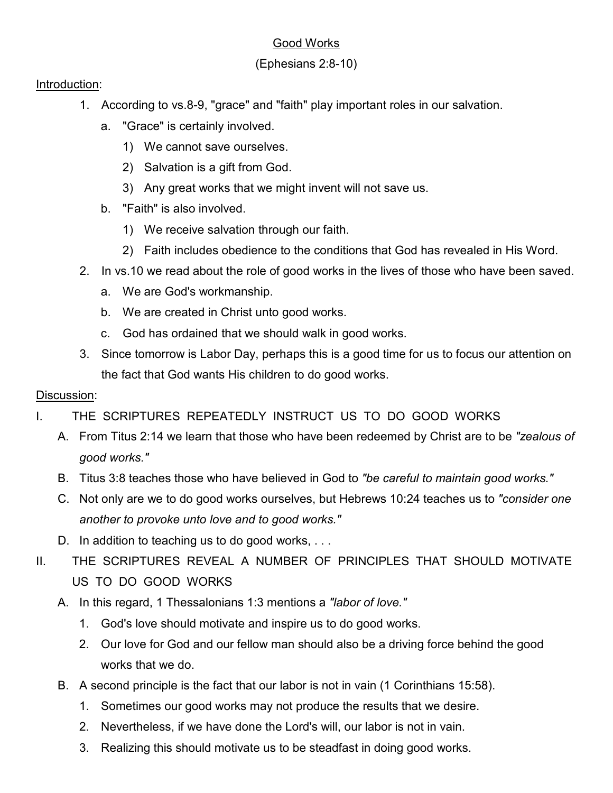# Good Works

# (Ephesians 2:8-10)

#### Introduction:

- 1. According to vs.8-9, "grace" and "faith" play important roles in our salvation.
	- a. "Grace" is certainly involved.
		- 1) We cannot save ourselves.
		- 2) Salvation is a gift from God.
		- 3) Any great works that we might invent will not save us.
	- b. "Faith" is also involved.
		- 1) We receive salvation through our faith.
		- 2) Faith includes obedience to the conditions that God has revealed in His Word.
- 2. In vs.10 we read about the role of good works in the lives of those who have been saved.
	- a. We are God's workmanship.
	- b. We are created in Christ unto good works.
	- c. God has ordained that we should walk in good works.
- 3. Since tomorrow is Labor Day, perhaps this is a good time for us to focus our attention on the fact that God wants His children to do good works.

## Discussion:

- I. THE SCRIPTURES REPEATEDLY INSTRUCT US TO DO GOOD WORKS
	- A. From Titus 2:14 we learn that those who have been redeemed by Christ are to be *"zealous of good works."*
	- B. Titus 3:8 teaches those who have believed in God to *"be careful to maintain good works."*
	- C. Not only are we to do good works ourselves, but Hebrews 10:24 teaches us to *"consider one another to provoke unto love and to good works."*
	- D. In addition to teaching us to do good works, ...
- II. THE SCRIPTURES REVEAL A NUMBER OF PRINCIPLES THAT SHOULD MOTIVATE US TO DO GOOD WORKS
	- A. In this regard, 1 Thessalonians 1:3 mentions a *"labor of love."*
		- 1. God's love should motivate and inspire us to do good works.
		- 2. Our love for God and our fellow man should also be a driving force behind the good works that we do.
	- B. A second principle is the fact that our labor is not in vain (1 Corinthians 15:58).
		- 1. Sometimes our good works may not produce the results that we desire.
		- 2. Nevertheless, if we have done the Lord's will, our labor is not in vain.
		- 3. Realizing this should motivate us to be steadfast in doing good works.